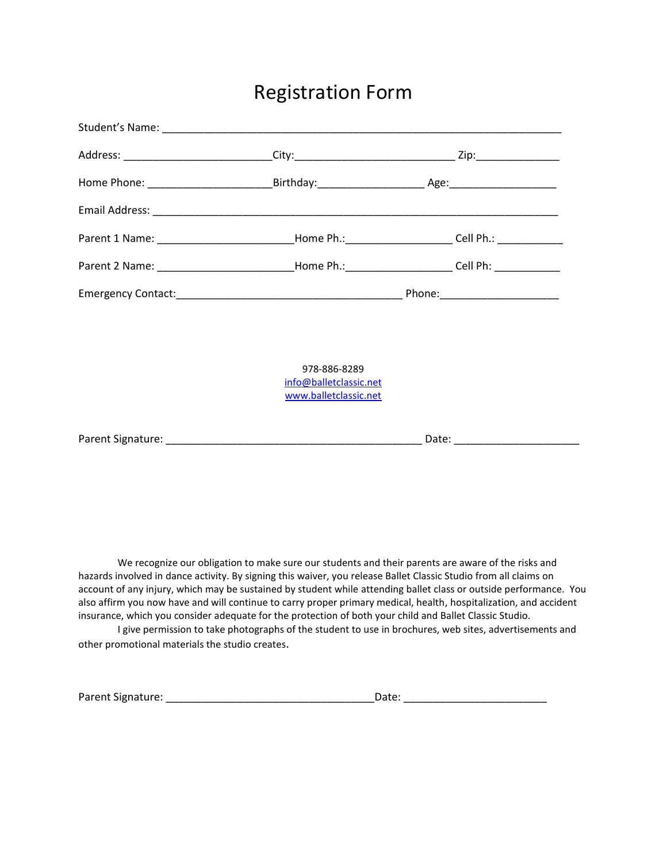# Registration Form

| Parent 1 Name: _________________________Home Ph.:______________________Cell Ph.: _____________       |                                                                                                                                                                                                                                |
|------------------------------------------------------------------------------------------------------|--------------------------------------------------------------------------------------------------------------------------------------------------------------------------------------------------------------------------------|
| Parent 2 Name: ______________________________Home Ph.:________________________Cell Ph: _____________ |                                                                                                                                                                                                                                |
|                                                                                                      |                                                                                                                                                                                                                                |
| 978-886-8289<br>info@balletclassic.net<br>www.balletclassic.net                                      |                                                                                                                                                                                                                                |
|                                                                                                      | Date: National Property of the Contract of the Contract of the Contract of the Contract of the Contract of the Contract of the Contract of the Contract of the Contract of the Contract of the Contract of the Contract of the |

We recognize our obligation to make sure our students and their parents are aware of the risks and hazards involved in dance activity. By signing this waiver, you release Ballet Classic Studio from all claims on account of any injury, which may be sustained by student while attending ballet class or outside performance. You also affirm you now have and will continue to carry proper primary medical, health, hospitalization, and accident insurance, which you consider adequate for the protection of both your child and Ballet Classic Studio.

I give permission to take photographs of the student to use in brochures, web sites, advertisements and other promotional materials the studio creates.

| Parent Signature: | Date |  |
|-------------------|------|--|
|                   |      |  |